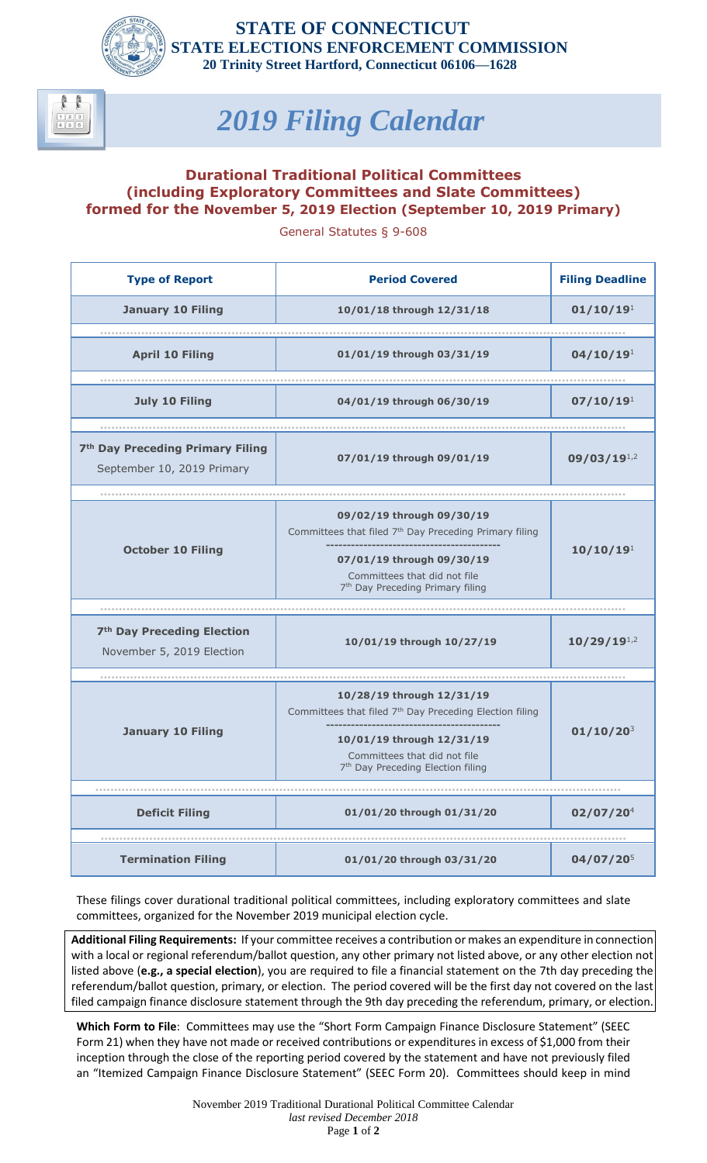



## *2019 Filing Calendar*

## **Durational Traditional Political Committees (including Exploratory Committees and Slate Committees) formed for the November 5, 2019 Election (September 10, 2019 Primary)**

General Statutes § 9-608

| <b>Type of Report</b>                                                      | <b>Period Covered</b>                                               | <b>Filing Deadline</b> |
|----------------------------------------------------------------------------|---------------------------------------------------------------------|------------------------|
| <b>January 10 Filing</b>                                                   | 10/01/18 through 12/31/18                                           | 01/10/19 <sup>1</sup>  |
|                                                                            |                                                                     |                        |
| <b>April 10 Filing</b>                                                     | 01/01/19 through 03/31/19                                           | 04/10/19 <sup>1</sup>  |
|                                                                            |                                                                     |                        |
| <b>July 10 Filing</b>                                                      | 04/01/19 through 06/30/19                                           | 07/10/19 <sup>1</sup>  |
|                                                                            |                                                                     |                        |
| 7 <sup>th</sup> Day Preceding Primary Filing<br>September 10, 2019 Primary | 07/01/19 through 09/01/19                                           | $09/03/19^{1,2}$       |
|                                                                            |                                                                     |                        |
| <b>October 10 Filing</b>                                                   | 09/02/19 through 09/30/19                                           | 10/10/19 <sup>1</sup>  |
|                                                                            | Committees that filed 7 <sup>th</sup> Day Preceding Primary filing  |                        |
|                                                                            | 07/01/19 through 09/30/19                                           |                        |
|                                                                            | Committees that did not file                                        |                        |
|                                                                            | 7 <sup>th</sup> Day Preceding Primary filing                        |                        |
|                                                                            |                                                                     |                        |
| 7 <sup>th</sup> Day Preceding Election                                     | 10/01/19 through 10/27/19                                           |                        |
| November 5, 2019 Election                                                  |                                                                     | $10/29/19^{1,2}$       |
|                                                                            |                                                                     |                        |
| <b>January 10 Filing</b>                                                   | 10/28/19 through 12/31/19                                           | $01/10/20^{3}$         |
|                                                                            | Committees that filed 7 <sup>th</sup> Day Preceding Election filing |                        |
|                                                                            | 10/01/19 through 12/31/19                                           |                        |
|                                                                            | Committees that did not file                                        |                        |
|                                                                            | 7 <sup>th</sup> Day Preceding Election filing                       |                        |
|                                                                            |                                                                     |                        |
| <b>Deficit Filing</b>                                                      | 01/01/20 through 01/31/20                                           | 02/07/20 <sup>4</sup>  |
|                                                                            |                                                                     |                        |
| <b>Termination Filing</b>                                                  | 01/01/20 through 03/31/20                                           | $04/07/20^{5}$         |

These filings cover durational traditional political committees, including exploratory committees and slate committees, organized for the November 2019 municipal election cycle.

**Additional Filing Requirements:** If your committee receives a contribution or makes an expenditure in connection with a local or regional referendum/ballot question, any other primary not listed above, or any other election not listed above (**e.g., a special election**), you are required to file a financial statement on the 7th day preceding the referendum/ballot question, primary, or election. The period covered will be the first day not covered on the last filed campaign finance disclosure statement through the 9th day preceding the referendum, primary, or election.

**Which Form to File**: Committees may use the "Short Form Campaign Finance Disclosure Statement" (SEEC Form 21) when they have not made or received contributions or expenditures in excess of \$1,000 from their inception through the close of the reporting period covered by the statement and have not previously filed an "Itemized Campaign Finance Disclosure Statement" (SEEC Form 20). Committees should keep in mind